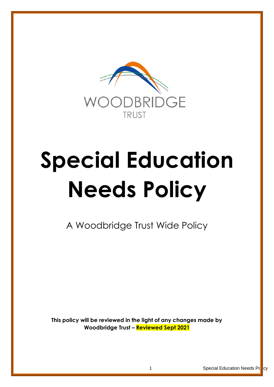

# **Special Education Needs Policy**

A Woodbridge Trust Wide Policy

**This policy will be reviewed in the light of any changes made by Woodbridge Trust – Reviewed Sept 2021**

1 **Special Education Needs Policy**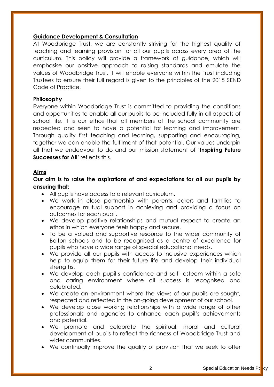#### **Guidance Development & Consultation**

At Woodbridge Trust, we are constantly striving for the highest quality of teaching and learning provision for all our pupils across every area of the curriculum. This policy will provide a framework of guidance, which will emphasise our positive approach to raising standards and emulate the values of Woodbridge Trust. It will enable everyone within the Trust including Trustees to ensure their full regard is given to the principles of the 2015 SEND Code of Practice.

#### **Philosophy**

Everyone within Woodbridge Trust is committed to providing the conditions and opportunities to enable all our pupils to be included fully in all aspects of school life. It is our ethos that all members of the school community are respected and seen to have a potential for learning and improvement. Through quality first teaching and learning, supporting and encouraging, together we can enable the fulfilment of that potential. Our values underpin all that we endeavour to do and our mission statement of **'Inspiring Future Successes for All'** reflects this.

#### **Aims**

## **Our aim is to raise the aspirations of and expectations for all our pupils by ensuring that:**

- All pupils have access to a relevant curriculum.
- We work in close partnership with parents, carers and families to encourage mutual support in achieving and providing a focus on outcomes for each pupil.
- We develop positive relationships and mutual respect to create an ethos in which everyone feels happy and secure.
- To be a valued and supportive resource to the wider community of Bolton schools and to be recognised as a centre of excellence for pupils who have a wide range of special educational needs.
- We provide all our pupils with access to inclusive experiences which help to equip them for their future life and develop their individual strengths.
- We develop each pupil's confidence and self- esteem within a safe and caring environment where all success is recognised and celebrated.
- We create an environment where the views of our pupils are sought, respected and reflected in the on-going development of our school.
- We develop close working relationships with a wide range of other professionals and agencies to enhance each pupil's achievements and potential.
- We promote and celebrate the spiritual, moral and cultural development of pupils to reflect the richness of Woodbridge Trust and wider communities.
- We continually improve the quality of provision that we seek to offer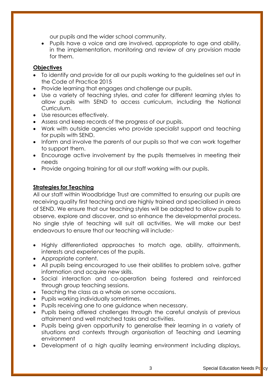our pupils and the wider school community.

• Pupils have a voice and are involved, appropriate to age and ability, in the implementation, monitoring and review of any provision made for them.

# **Objectives**

- To identify and provide for all our pupils working to the guidelines set out in the Code of Practice 2015
- Provide learning that engages and challenge our pupils.
- Use a variety of teaching styles, and cater for different learning styles to allow pupils with SEND to access curriculum, including the National Curriculum.
- Use resources effectively.
- Assess and keep records of the progress of our pupils.
- Work with outside agencies who provide specialist support and teaching for pupils with SEND.
- Inform and involve the parents of our pupils so that we can work together to support them.
- Encourage active involvement by the pupils themselves in meeting their needs
- Provide ongoing training for all our staff working with our pupils.

# **Strategies for Teaching**

All our staff within Woodbridge Trust are committed to ensuring our pupils are receiving quality first teaching and are highly trained and specialised in areas of SEND. We ensure that our teaching styles will be adapted to allow pupils to observe, explore and discover, and so enhance the developmental process. No single style of teaching will suit all activities. We will make our best endeavours to ensure that our teaching will include:-

- Highly differentiated approaches to match age, ability, attainments, interests and experiences of the pupils.
- Appropriate content.
- All pupils being encouraged to use their abilities to problem solve, gather information and acquire new skills.
- Social interaction and co-operation being fostered and reinforced through group teaching sessions.
- Teaching the class as a whole on some occasions.
- Pupils working individually sometimes.
- Pupils receiving one to one guidance when necessary.
- Pupils being offered challenges through the careful analysis of previous attainment and well matched tasks and activities.
- Pupils being given opportunity to generalise their learning in a variety of situations and contexts through organisation of Teaching and Learning environment
- Development of a high quality learning environment including displays,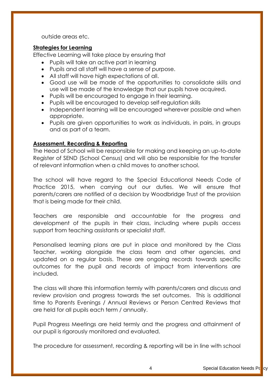outside areas etc.

#### **Strategies for Learning**

Effective Learning will take place by ensuring that

- Pupils will take an active part in learning
- Pupils and all staff will have a sense of purpose.
- All staff will have high expectations of all.
- Good use will be made of the opportunities to consolidate skills and use will be made of the knowledge that our pupils have acquired.
- Pupils will be encouraged to engage in their learning.
- Pupils will be encouraged to develop self-regulation skills
- Independent learning will be encouraged wherever possible and when appropriate.
- Pupils are given opportunities to work as individuals, in pairs, in groups and as part of a team.

# **Assessment, Recording & Reporting**

The Head of School will be responsible for making and keeping an up-to-date Register of SEND (School Census) and will also be responsible for the transfer of relevant information when a child moves to another school.

The school will have regard to the Special Educational Needs Code of Practice 2015, when carrying out our duties. We will ensure that parents/carers are notified of a decision by Woodbridge Trust of the provision that is being made for their child.

Teachers are responsible and accountable for the progress and development of the pupils in their class, including where pupils access support from teaching assistants or specialist staff.

Personalised learning plans are put in place and monitored by the Class Teacher, working alongside the class team and other agencies, and updated on a regular basis. These are ongoing records towards specific outcomes for the pupil and records of impact from interventions are included.

The class will share this information termly with parents/carers and discuss and review provision and progress towards the set outcomes. This is additional time to Parents Evenings / Annual Reviews or Person Centred Reviews that are held for all pupils each term / annually.

Pupil Progress Meetings are held termly and the progress and attainment of our pupil is rigorously monitored and evaluated.

The procedure for assessment, recording & reporting will be in line with school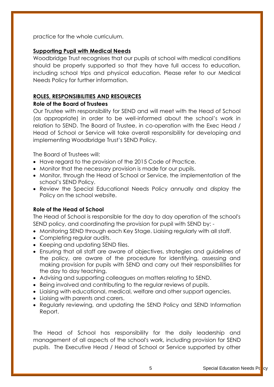practice for the whole curriculum.

# **Supporting Pupil with Medical Needs**

Woodbridge Trust recognises that our pupils at school with medical conditions should be properly supported so that they have full access to education, including school trips and physical education. Please refer to our Medical Needs Policy for further information.

# **ROLES, RESPONSIBILITIES AND RESOURCES**

# **Role of the Board of Trustees**

Our Trustee with responsibility for SEND and will meet with the Head of School (as appropriate) in order to be well-informed about the school's work in relation to SEND. The Board of Trustee, in co-operation with the Exec Head / Head of School or Service will take overall responsibility for developing and implementing Woodbridge Trust's SEND Policy.

The Board of Trustees will:

- Have regard to the provision of the 2015 Code of Practice.
- Monitor that the necessary provision is made for our pupils.
- Monitor, through the Head of School or Service, the implementation of the school's SEND Policy.
- Review the Special Educational Needs Policy annually and display the Policy on the school website.

# **Role of the Head of School**

The Head of School is responsible for the day to day operation of the school's SEND policy, and coordinating the provision for pupil with SEND by: -

- Monitoring SEND through each Key Stage. Liaising regularly with all staff.
- Completing regular audits.
- Keeping and updating SEND files.
- Ensuring that all staff are aware of objectives, strategies and guidelines of the policy, are aware of the procedure for identifying, assessing and making provision for pupils with SEND and carry out their responsibilities for the day to day teaching.
- Advising and supporting colleagues on matters relating to SEND.
- Being involved and contributing to the regular reviews of pupils.
- Liaising with educational, medical, welfare and other support agencies.
- Liaising with parents and carers.
- Regularly reviewing, and updating the SEND Policy and SEND Information Report.

The Head of School has responsibility for the daily leadership and management of all aspects of the school's work, including provision for SEND pupils. The Executive Head / Head of School or Service supported by other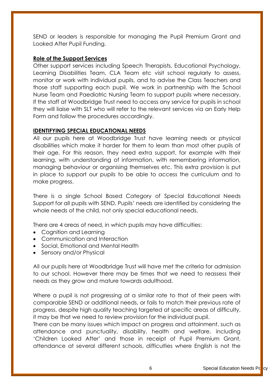SEND or leaders is responsible for managing the Pupil Premium Grant and Looked After Pupil Funding.

## **Role of the Support Services**

Other support services including Speech Therapists, Educational Psychology, Learning Disabilities Team, CLA Team etc visit school regularly to assess, monitor or work with individual pupils, and to advise the Class Teachers and those staff supporting each pupil. We work in partnership with the School Nurse Team and Paediatric Nursing Team to support pupils where necessary. If the staff at Woodbridge Trust need to access any service for pupils in school they will liaise with SLT who will refer to the relevant services via an Early Help Form and follow the procedures accordingly.

# **IDENTIFYING SPECIAL EDUCATIONAL NEEDS**

All our pupils here at Woodbridge Trust have learning needs or physical disabilities which make it harder for them to learn than most other pupils of their age. For this reason, they need extra support, for example with their learning, with understanding of information, with remembering information, managing behaviour or organising themselves etc. This extra provision is put in place to support our pupils to be able to access the curriculum and to make progress.

There is a single School Based Category of Special Educational Needs Support for all pupils with SEND. Pupils' needs are identified by considering the whole needs of the child, not only special educational needs.

There are 4 areas of need, in which pupils may have difficulties:

- Cognition and Learning
- Communication and Interaction
- Social, Emotional and Mental Health
- Sensory and/or Physical

All our pupils here at Woodbridge Trust will have met the criteria for admission to our school. However there may be times that we need to reassess their needs as they grow and mature towards adulthood.

Where a pupil is not progressing at a similar rate to that of their peers with comparable SEND or additional needs, or fails to match their previous rate of progress, despite high quality teaching targeted at specific areas of difficulty, it may be that we need to review provision for the individual pupil.

There can be many issues which impact on progress and attainment, such as attendance and punctuality, disability, health and welfare, including 'Children Looked After' and those in receipt of Pupil Premium Grant, attendance at several different schools, difficulties where English is not the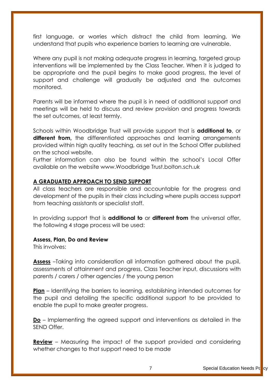first language, or worries which distract the child from learning. We understand that pupils who experience barriers to learning are vulnerable.

Where any pupil is not making adequate progress in learning, targeted group interventions will be implemented by the Class Teacher. When it is judged to be appropriate and the pupil begins to make good progress, the level of support and challenge will gradually be adjusted and the outcomes monitored.

Parents will be informed where the pupil is in need of additional support and meetings will be held to discuss and review provision and progress towards the set outcomes, at least termly.

Schools within Woodbridge Trust will provide support that is **additional to**, or **different from,** the differentiated approaches and learning arrangements provided within high quality teaching, as set out in the School Offer published on the school website.

Further information can also be found within the school's Local Offer available on the website www.Woodbridge Trust.bolton.sch.uk

## **A GRADUATED APPROACH TO SEND SUPPORT**

All class teachers are responsible and accountable for the progress and development of the pupils in their class including where pupils access support from teaching assistants or specialist staff.

In providing support that is **additional to** or **different from** the universal offer, the following 4 stage process will be used:

#### **Assess, Plan, Do and Review**

This involves:

**Assess** –Taking into consideration all information gathered about the pupil, assessments of attainment and progress, Class Teacher input, discussions with parents / carers / other agencies / the young person

**Plan** – Identifying the barriers to learning, establishing intended outcomes for the pupil and detailing the specific additional support to be provided to enable the pupil to make greater progress.

**Do** – Implementing the agreed support and interventions as detailed in the SEND Offer.

**Review** – Measuring the impact of the support provided and considering whether changes to that support need to be made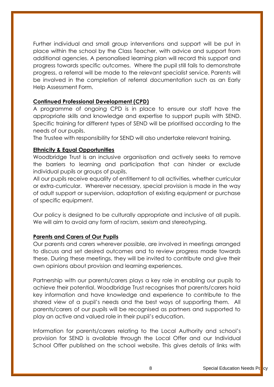Further individual and small group interventions and support will be put in place within the school by the Class Teacher, with advice and support from additional agencies. A personalised learning plan will record this support and progress towards specific outcomes. Where the pupil still fails to demonstrate progress, a referral will be made to the relevant specialist service. Parents will be involved in the completion of referral documentation such as an Early Help Assessment Form.

## **Continued Professional Development (CPD)**

A programme of ongoing CPD is in place to ensure our staff have the appropriate skills and knowledge and expertise to support pupils with SEND. Specific training for different types of SEND will be prioritised according to the needs of our pupils.

The Trustee with responsibility for SEND will also undertake relevant training.

## **Ethnicity & Equal Opportunities**

Woodbridge Trust is an inclusive organisation and actively seeks to remove the barriers to learning and participation that can hinder or exclude individual pupils or groups of pupils.

All our pupils receive equality of entitlement to all activities, whether curricular or extra-curricular. Wherever necessary, special provision is made in the way of adult support or supervision, adaptation of existing equipment or purchase of specific equipment.

Our policy is designed to be culturally appropriate and inclusive of all pupils. We will aim to avoid any form of racism, sexism and stereotyping.

## **Parents and Carers of Our Pupils**

Our parents and carers wherever possible, are involved in meetings arranged to discuss and set desired outcomes and to review progress made towards these. During these meetings, they will be invited to contribute and give their own opinions about provision and learning experiences.

Partnership with our parents/carers plays a key role in enabling our pupils to achieve their potential. Woodbridge Trust recognises that parents/carers hold key information and have knowledge and experience to contribute to the shared view of a pupil's needs and the best ways of supporting them. All parents/carers of our pupils will be recognised as partners and supported to play an active and valued role in their pupil's education.

Information for parents/carers relating to the Local Authority and school's provision for SEND is available through the Local Offer and our Individual School Offer published on the school website. This gives details of links with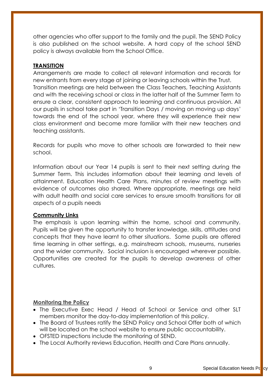other agencies who offer support to the family and the pupil. The SEND Policy is also published on the school website. A hard copy of the school SEND policy is always available from the School Office.

# **TRANSITION**

Arrangements are made to collect all relevant information and records for new entrants from every stage at joining or leaving schools within the Trust. Transition meetings are held between the Class Teachers, Teaching Assistants and with the receiving school or class in the latter half of the Summer Term to ensure a clear, consistent approach to learning and continuous provision. All our pupils in school take part in 'Transition Days / moving on moving up days' towards the end of the school year, where they will experience their new class environment and become more familiar with their new teachers and teaching assistants.

Records for pupils who move to other schools are forwarded to their new school.

Information about our Year 14 pupils is sent to their next setting during the Summer Term. This includes information about their learning and levels of attainment. Education Health Care Plans, minutes of review meetings with evidence of outcomes also shared. Where appropriate, meetings are held with adult health and social care services to ensure smooth transitions for all aspects of a pupils needs

## **Community Links**

The emphasis is upon learning within the home, school and community. Pupils will be given the opportunity to transfer knowledge, skills, attitudes and concepts that they have learnt to other situations. Some pupils are offered time learning in other settings, e.g. mainstream schools, museums, nurseries and the wider community. Social inclusion is encouraged wherever possible. Opportunities are created for the pupils to develop awareness of other cultures.

## **Monitoring the Policy**

- The Executive Exec Head / Head of School or Service and other SLT members monitor the day-to-day implementation of this policy.
- The Board of Trustees ratify the SEND Policy and School Offer both of which will be located on the school website to ensure public accountability.
- OFSTED inspections include the monitoring of SEND.
- The Local Authority reviews Education, Health and Care Plans annually.